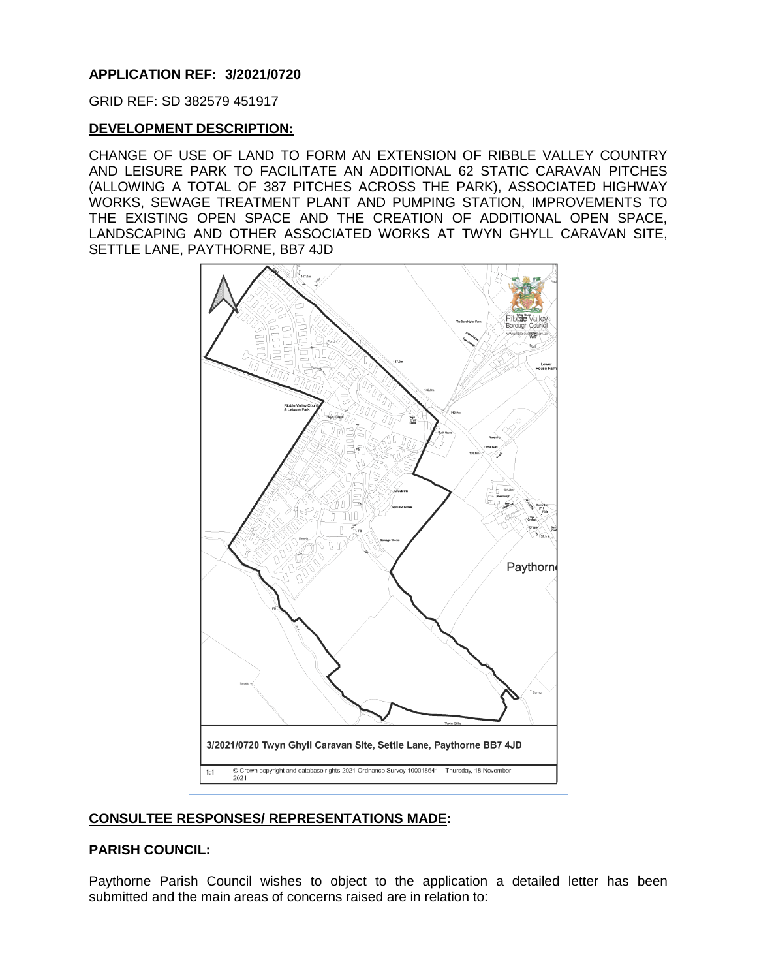## **APPLICATION REF: 3/2021/0720**

GRID REF: SD 382579 451917

## **DEVELOPMENT DESCRIPTION:**

CHANGE OF USE OF LAND TO FORM AN EXTENSION OF RIBBLE VALLEY COUNTRY AND LEISURE PARK TO FACILITATE AN ADDITIONAL 62 STATIC CARAVAN PITCHES (ALLOWING A TOTAL OF 387 PITCHES ACROSS THE PARK), ASSOCIATED HIGHWAY WORKS, SEWAGE TREATMENT PLANT AND PUMPING STATION, IMPROVEMENTS TO THE EXISTING OPEN SPACE AND THE CREATION OF ADDITIONAL OPEN SPACE, LANDSCAPING AND OTHER ASSOCIATED WORKS AT TWYN GHYLL CARAVAN SITE, SETTLE LANE, PAYTHORNE, BB7 4JD



# **CONSULTEE RESPONSES/ REPRESENTATIONS MADE:**

## **PARISH COUNCIL:**

Paythorne Parish Council wishes to object to the application a detailed letter has been submitted and the main areas of concerns raised are in relation to: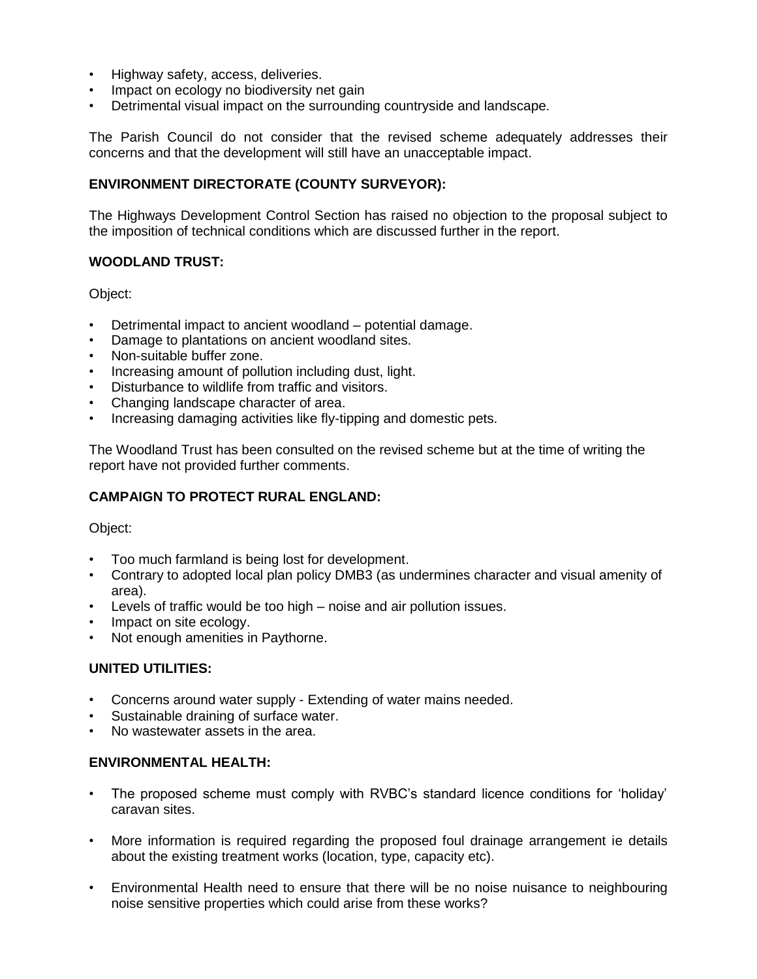- Highway safety, access, deliveries.
- Impact on ecology no biodiversity net gain
- Detrimental visual impact on the surrounding countryside and landscape.

The Parish Council do not consider that the revised scheme adequately addresses their concerns and that the development will still have an unacceptable impact.

### **ENVIRONMENT DIRECTORATE (COUNTY SURVEYOR):**

The Highways Development Control Section has raised no objection to the proposal subject to the imposition of technical conditions which are discussed further in the report.

### **WOODLAND TRUST:**

Object:

- Detrimental impact to ancient woodland potential damage.
- Damage to plantations on ancient woodland sites.
- Non-suitable buffer zone.
- Increasing amount of pollution including dust, light.
- Disturbance to wildlife from traffic and visitors.
- Changing landscape character of area.
- Increasing damaging activities like fly-tipping and domestic pets.

The Woodland Trust has been consulted on the revised scheme but at the time of writing the report have not provided further comments.

### **CAMPAIGN TO PROTECT RURAL ENGLAND:**

Object:

- Too much farmland is being lost for development.
- Contrary to adopted local plan policy DMB3 (as undermines character and visual amenity of area).
- Levels of traffic would be too high noise and air pollution issues.
- Impact on site ecology.
- Not enough amenities in Paythorne.

### **UNITED UTILITIES:**

- Concerns around water supply Extending of water mains needed.
- Sustainable draining of surface water.
- No wastewater assets in the area.

## **ENVIRONMENTAL HEALTH:**

- The proposed scheme must comply with RVBC's standard licence conditions for 'holiday' caravan sites.
- More information is required regarding the proposed foul drainage arrangement ie details about the existing treatment works (location, type, capacity etc).
- Environmental Health need to ensure that there will be no noise nuisance to neighbouring noise sensitive properties which could arise from these works?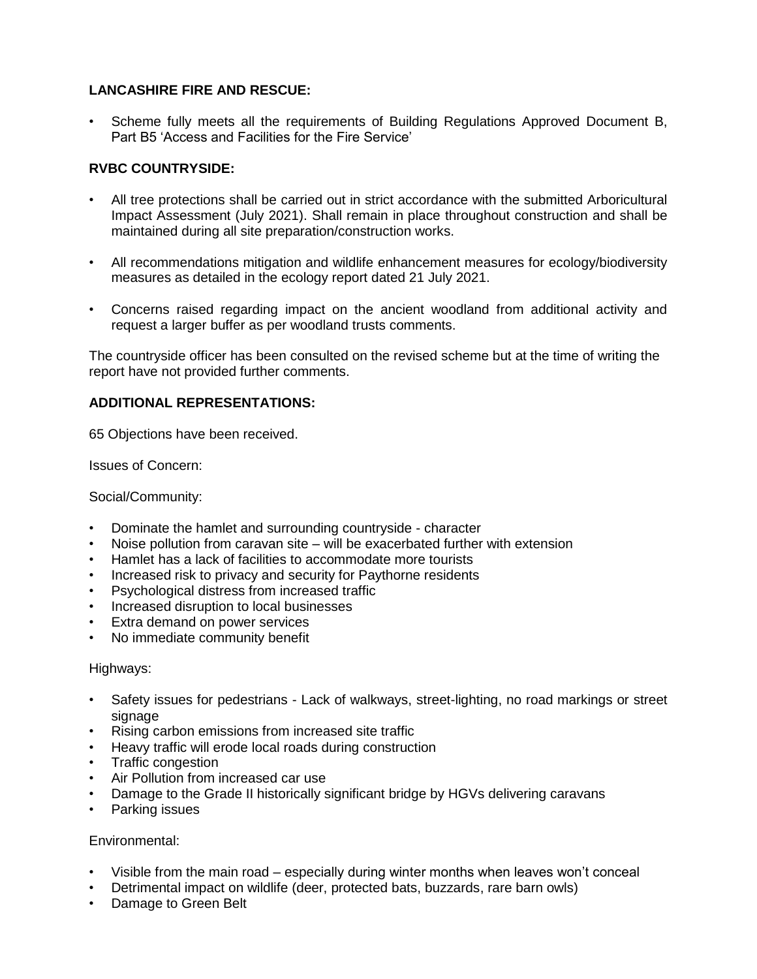# **LANCASHIRE FIRE AND RESCUE:**

• Scheme fully meets all the requirements of Building Regulations Approved Document B, Part B5 'Access and Facilities for the Fire Service'

## **RVBC COUNTRYSIDE:**

- All tree protections shall be carried out in strict accordance with the submitted Arboricultural Impact Assessment (July 2021). Shall remain in place throughout construction and shall be maintained during all site preparation/construction works.
- All recommendations mitigation and wildlife enhancement measures for ecology/biodiversity measures as detailed in the ecology report dated 21 July 2021.
- Concerns raised regarding impact on the ancient woodland from additional activity and request a larger buffer as per woodland trusts comments.

The countryside officer has been consulted on the revised scheme but at the time of writing the report have not provided further comments.

### **ADDITIONAL REPRESENTATIONS:**

65 Objections have been received.

Issues of Concern:

Social/Community:

- Dominate the hamlet and surrounding countryside character
- Noise pollution from caravan site will be exacerbated further with extension
- Hamlet has a lack of facilities to accommodate more tourists
- Increased risk to privacy and security for Paythorne residents
- Psychological distress from increased traffic
- Increased disruption to local businesses
- Extra demand on power services
- No immediate community benefit

### Highways:

- Safety issues for pedestrians Lack of walkways, street-lighting, no road markings or street signage
- Rising carbon emissions from increased site traffic
- Heavy traffic will erode local roads during construction
- Traffic congestion
- Air Pollution from increased car use
- Damage to the Grade II historically significant bridge by HGVs delivering caravans
- Parking issues

### Environmental:

- Visible from the main road especially during winter months when leaves won't conceal
- Detrimental impact on wildlife (deer, protected bats, buzzards, rare barn owls)
- Damage to Green Belt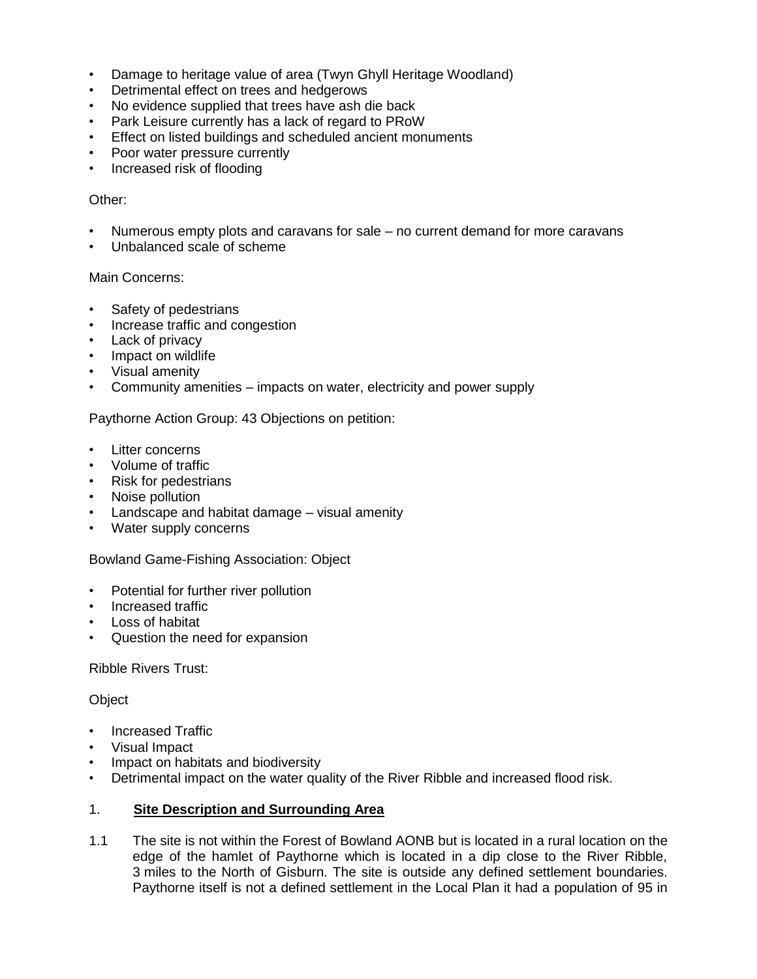- Damage to heritage value of area (Twyn Ghyll Heritage Woodland)
- Detrimental effect on trees and hedgerows
- No evidence supplied that trees have ash die back
- Park Leisure currently has a lack of regard to PRoW
- Effect on listed buildings and scheduled ancient monuments
- Poor water pressure currently
- Increased risk of flooding

### Other:

- Numerous empty plots and caravans for sale no current demand for more caravans
- Unbalanced scale of scheme

### Main Concerns:

- Safety of pedestrians
- Increase traffic and congestion
- Lack of privacy
- Impact on wildlife
- Visual amenity
- Community amenities impacts on water, electricity and power supply

Paythorne Action Group: 43 Objections on petition:

- Litter concerns
- Volume of traffic
- Risk for pedestrians
- Noise pollution
- Landscape and habitat damage visual amenity
- Water supply concerns

Bowland Game-Fishing Association: Object

- Potential for further river pollution
- Increased traffic
- Loss of habitat
- Question the need for expansion

Ribble Rivers Trust:

### **Object**

- Increased Traffic
- Visual Impact
- Impact on habitats and biodiversity
- Detrimental impact on the water quality of the River Ribble and increased flood risk.

## 1. **Site Description and Surrounding Area**

1.1 The site is not within the Forest of Bowland AONB but is located in a rural location on the edge of the hamlet of Paythorne which is located in a dip close to the River Ribble, 3 miles to the North of Gisburn. The site is outside any defined settlement boundaries. Paythorne itself is not a defined settlement in the Local Plan it had a population of 95 in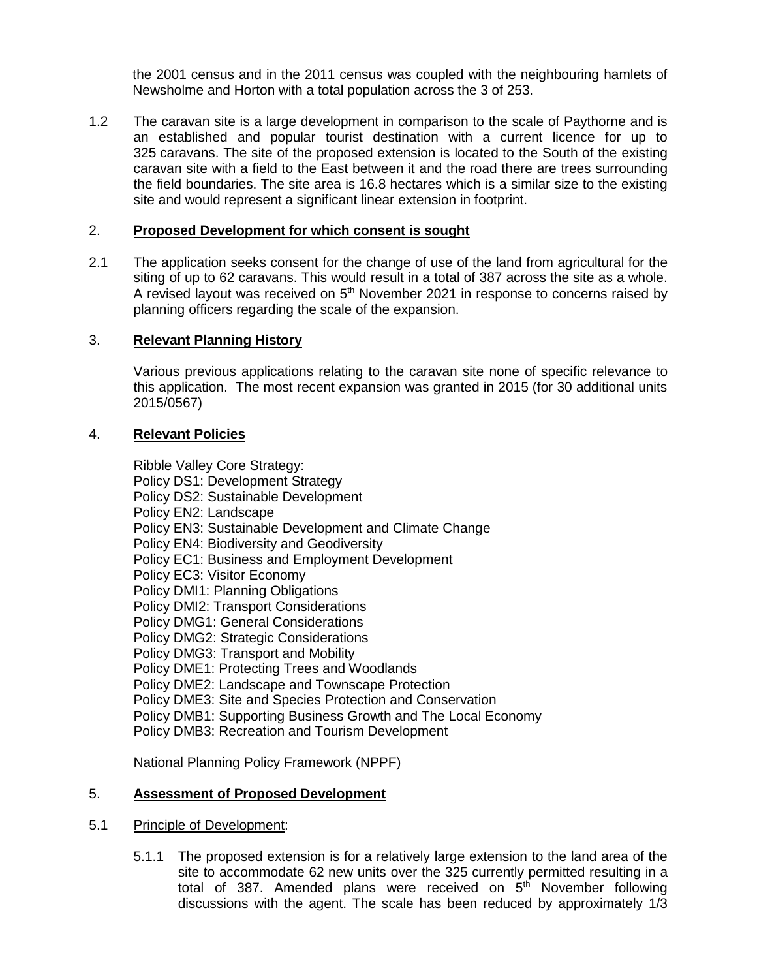the 2001 census and in the 2011 census was coupled with the neighbouring hamlets of Newsholme and Horton with a total population across the 3 of 253.

1.2 The caravan site is a large development in comparison to the scale of Paythorne and is an established and popular tourist destination with a current licence for up to 325 caravans. The site of the proposed extension is located to the South of the existing caravan site with a field to the East between it and the road there are trees surrounding the field boundaries. The site area is 16.8 hectares which is a similar size to the existing site and would represent a significant linear extension in footprint.

## 2. **Proposed Development for which consent is sought**

2.1 The application seeks consent for the change of use of the land from agricultural for the siting of up to 62 caravans. This would result in a total of 387 across the site as a whole. A revised layout was received on  $5<sup>th</sup>$  November 2021 in response to concerns raised by planning officers regarding the scale of the expansion.

## 3. **Relevant Planning History**

Various previous applications relating to the caravan site none of specific relevance to this application. The most recent expansion was granted in 2015 (for 30 additional units 2015/0567)

### 4. **Relevant Policies**

Ribble Valley Core Strategy: Policy DS1: Development Strategy Policy DS2: Sustainable Development Policy EN2: Landscape Policy EN3: Sustainable Development and Climate Change Policy EN4: Biodiversity and Geodiversity Policy EC1: Business and Employment Development Policy EC3: Visitor Economy Policy DMI1: Planning Obligations Policy DMI2: Transport Considerations Policy DMG1: General Considerations Policy DMG2: Strategic Considerations Policy DMG3: Transport and Mobility Policy DME1: Protecting Trees and Woodlands Policy DME2: Landscape and Townscape Protection Policy DME3: Site and Species Protection and Conservation Policy DMB1: Supporting Business Growth and The Local Economy Policy DMB3: Recreation and Tourism Development

National Planning Policy Framework (NPPF)

### 5. **Assessment of Proposed Development**

### 5.1 Principle of Development:

5.1.1 The proposed extension is for a relatively large extension to the land area of the site to accommodate 62 new units over the 325 currently permitted resulting in a total of 387. Amended plans were received on 5<sup>th</sup> November following discussions with the agent. The scale has been reduced by approximately 1/3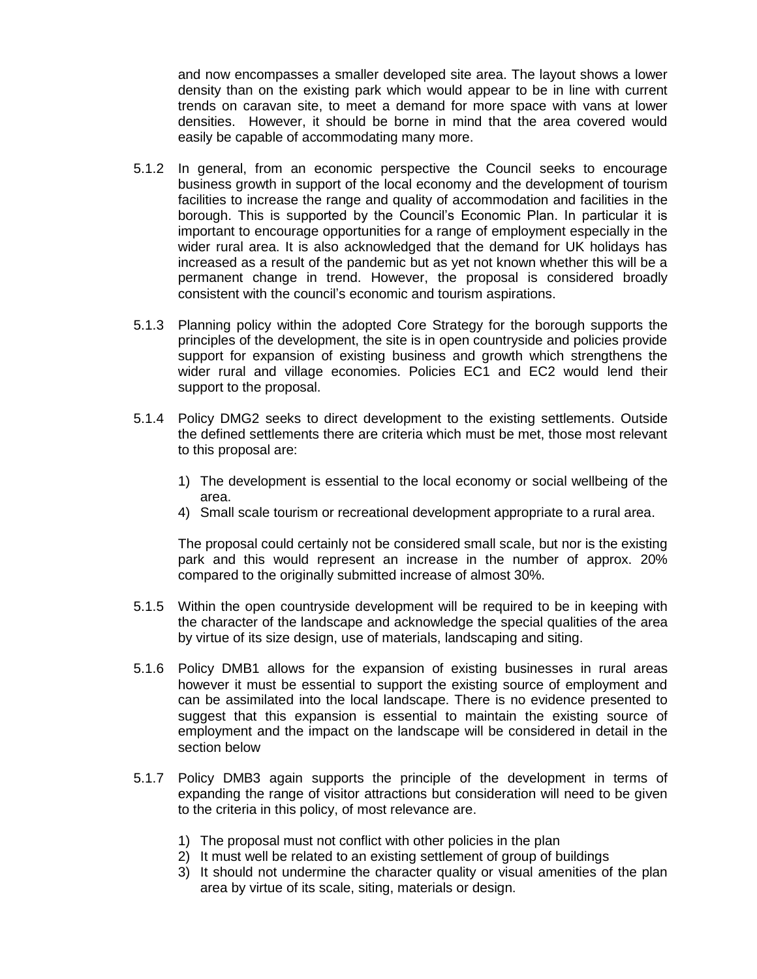and now encompasses a smaller developed site area. The layout shows a lower density than on the existing park which would appear to be in line with current trends on caravan site, to meet a demand for more space with vans at lower densities. However, it should be borne in mind that the area covered would easily be capable of accommodating many more.

- 5.1.2 In general, from an economic perspective the Council seeks to encourage business growth in support of the local economy and the development of tourism facilities to increase the range and quality of accommodation and facilities in the borough. This is supported by the Council's Economic Plan. In particular it is important to encourage opportunities for a range of employment especially in the wider rural area. It is also acknowledged that the demand for UK holidays has increased as a result of the pandemic but as yet not known whether this will be a permanent change in trend. However, the proposal is considered broadly consistent with the council's economic and tourism aspirations.
- 5.1.3 Planning policy within the adopted Core Strategy for the borough supports the principles of the development, the site is in open countryside and policies provide support for expansion of existing business and growth which strengthens the wider rural and village economies. Policies EC1 and EC2 would lend their support to the proposal.
- 5.1.4 Policy DMG2 seeks to direct development to the existing settlements. Outside the defined settlements there are criteria which must be met, those most relevant to this proposal are:
	- 1) The development is essential to the local economy or social wellbeing of the area.
	- 4) Small scale tourism or recreational development appropriate to a rural area.

The proposal could certainly not be considered small scale, but nor is the existing park and this would represent an increase in the number of approx. 20% compared to the originally submitted increase of almost 30%.

- 5.1.5 Within the open countryside development will be required to be in keeping with the character of the landscape and acknowledge the special qualities of the area by virtue of its size design, use of materials, landscaping and siting.
- 5.1.6 Policy DMB1 allows for the expansion of existing businesses in rural areas however it must be essential to support the existing source of employment and can be assimilated into the local landscape. There is no evidence presented to suggest that this expansion is essential to maintain the existing source of employment and the impact on the landscape will be considered in detail in the section below
- 5.1.7 Policy DMB3 again supports the principle of the development in terms of expanding the range of visitor attractions but consideration will need to be given to the criteria in this policy, of most relevance are.
	- 1) The proposal must not conflict with other policies in the plan
	- 2) It must well be related to an existing settlement of group of buildings
	- 3) It should not undermine the character quality or visual amenities of the plan area by virtue of its scale, siting, materials or design.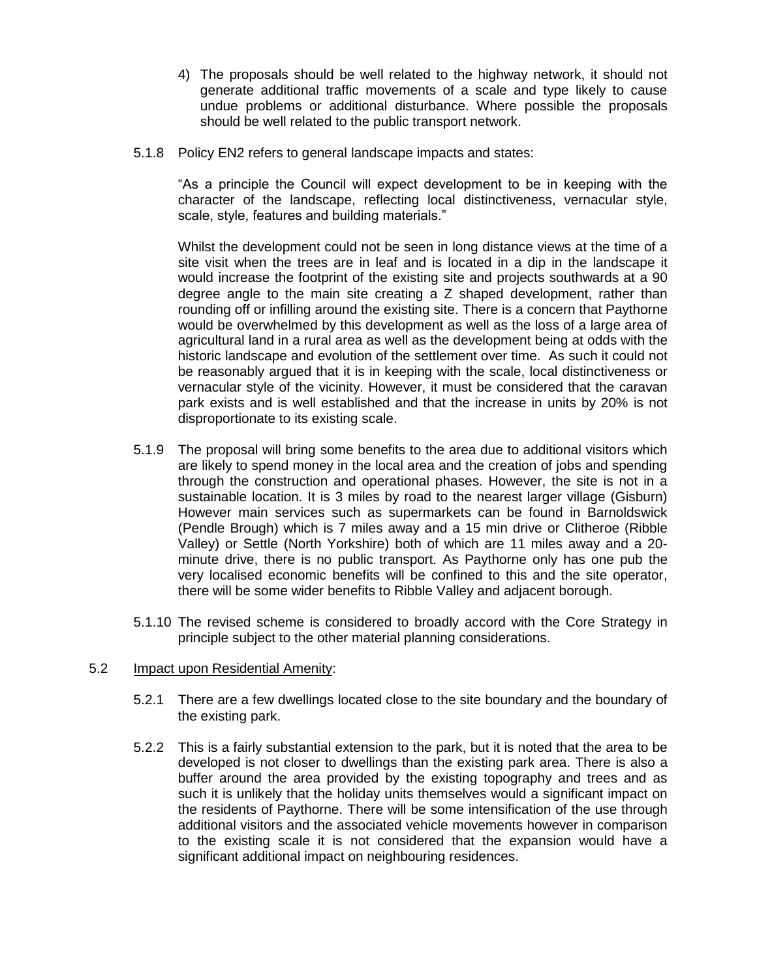- 4) The proposals should be well related to the highway network, it should not generate additional traffic movements of a scale and type likely to cause undue problems or additional disturbance. Where possible the proposals should be well related to the public transport network.
- 5.1.8 Policy EN2 refers to general landscape impacts and states:

"As a principle the Council will expect development to be in keeping with the character of the landscape, reflecting local distinctiveness, vernacular style, scale, style, features and building materials."

Whilst the development could not be seen in long distance views at the time of a site visit when the trees are in leaf and is located in a dip in the landscape it would increase the footprint of the existing site and projects southwards at a 90 degree angle to the main site creating a Z shaped development, rather than rounding off or infilling around the existing site. There is a concern that Paythorne would be overwhelmed by this development as well as the loss of a large area of agricultural land in a rural area as well as the development being at odds with the historic landscape and evolution of the settlement over time. As such it could not be reasonably argued that it is in keeping with the scale, local distinctiveness or vernacular style of the vicinity. However, it must be considered that the caravan park exists and is well established and that the increase in units by 20% is not disproportionate to its existing scale.

- 5.1.9 The proposal will bring some benefits to the area due to additional visitors which are likely to spend money in the local area and the creation of jobs and spending through the construction and operational phases. However, the site is not in a sustainable location. It is 3 miles by road to the nearest larger village (Gisburn) However main services such as supermarkets can be found in Barnoldswick (Pendle Brough) which is 7 miles away and a 15 min drive or Clitheroe (Ribble Valley) or Settle (North Yorkshire) both of which are 11 miles away and a 20 minute drive, there is no public transport. As Paythorne only has one pub the very localised economic benefits will be confined to this and the site operator, there will be some wider benefits to Ribble Valley and adjacent borough.
- 5.1.10 The revised scheme is considered to broadly accord with the Core Strategy in principle subject to the other material planning considerations.

### 5.2 Impact upon Residential Amenity:

- 5.2.1 There are a few dwellings located close to the site boundary and the boundary of the existing park.
- 5.2.2 This is a fairly substantial extension to the park, but it is noted that the area to be developed is not closer to dwellings than the existing park area. There is also a buffer around the area provided by the existing topography and trees and as such it is unlikely that the holiday units themselves would a significant impact on the residents of Paythorne. There will be some intensification of the use through additional visitors and the associated vehicle movements however in comparison to the existing scale it is not considered that the expansion would have a significant additional impact on neighbouring residences.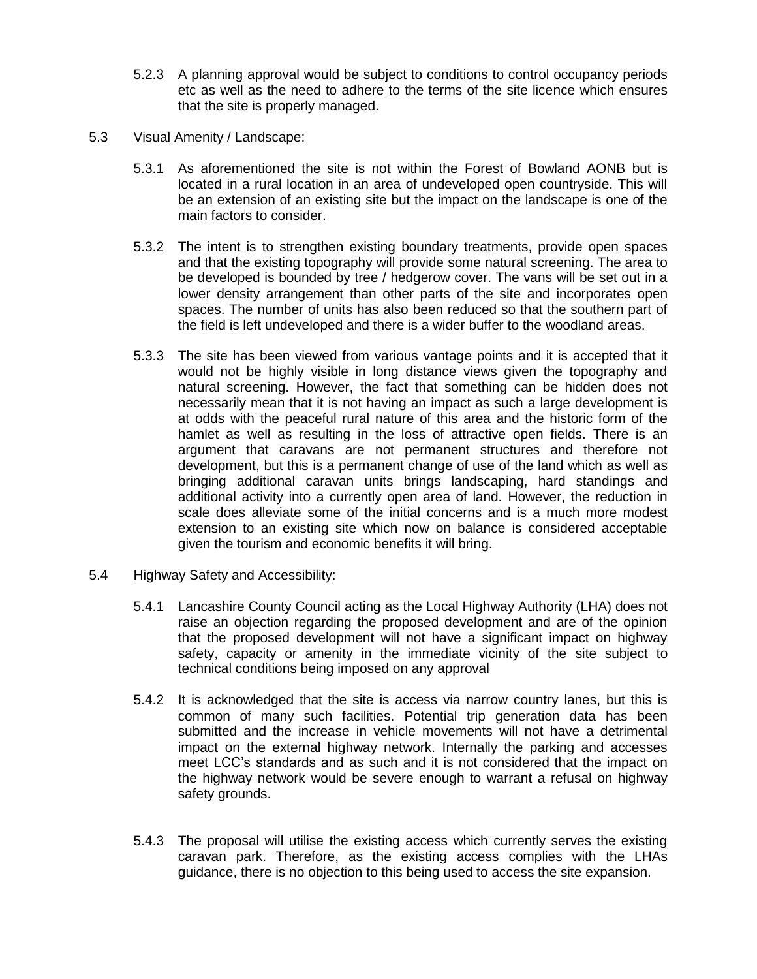5.2.3 A planning approval would be subject to conditions to control occupancy periods etc as well as the need to adhere to the terms of the site licence which ensures that the site is properly managed.

### 5.3 Visual Amenity / Landscape:

- 5.3.1 As aforementioned the site is not within the Forest of Bowland AONB but is located in a rural location in an area of undeveloped open countryside. This will be an extension of an existing site but the impact on the landscape is one of the main factors to consider.
- 5.3.2 The intent is to strengthen existing boundary treatments, provide open spaces and that the existing topography will provide some natural screening. The area to be developed is bounded by tree / hedgerow cover. The vans will be set out in a lower density arrangement than other parts of the site and incorporates open spaces. The number of units has also been reduced so that the southern part of the field is left undeveloped and there is a wider buffer to the woodland areas.
- 5.3.3 The site has been viewed from various vantage points and it is accepted that it would not be highly visible in long distance views given the topography and natural screening. However, the fact that something can be hidden does not necessarily mean that it is not having an impact as such a large development is at odds with the peaceful rural nature of this area and the historic form of the hamlet as well as resulting in the loss of attractive open fields. There is an argument that caravans are not permanent structures and therefore not development, but this is a permanent change of use of the land which as well as bringing additional caravan units brings landscaping, hard standings and additional activity into a currently open area of land. However, the reduction in scale does alleviate some of the initial concerns and is a much more modest extension to an existing site which now on balance is considered acceptable given the tourism and economic benefits it will bring.

## 5.4 Highway Safety and Accessibility:

- 5.4.1 Lancashire County Council acting as the Local Highway Authority (LHA) does not raise an objection regarding the proposed development and are of the opinion that the proposed development will not have a significant impact on highway safety, capacity or amenity in the immediate vicinity of the site subject to technical conditions being imposed on any approval
- 5.4.2 It is acknowledged that the site is access via narrow country lanes, but this is common of many such facilities. Potential trip generation data has been submitted and the increase in vehicle movements will not have a detrimental impact on the external highway network. Internally the parking and accesses meet LCC's standards and as such and it is not considered that the impact on the highway network would be severe enough to warrant a refusal on highway safety grounds.
- 5.4.3 The proposal will utilise the existing access which currently serves the existing caravan park. Therefore, as the existing access complies with the LHAs guidance, there is no objection to this being used to access the site expansion.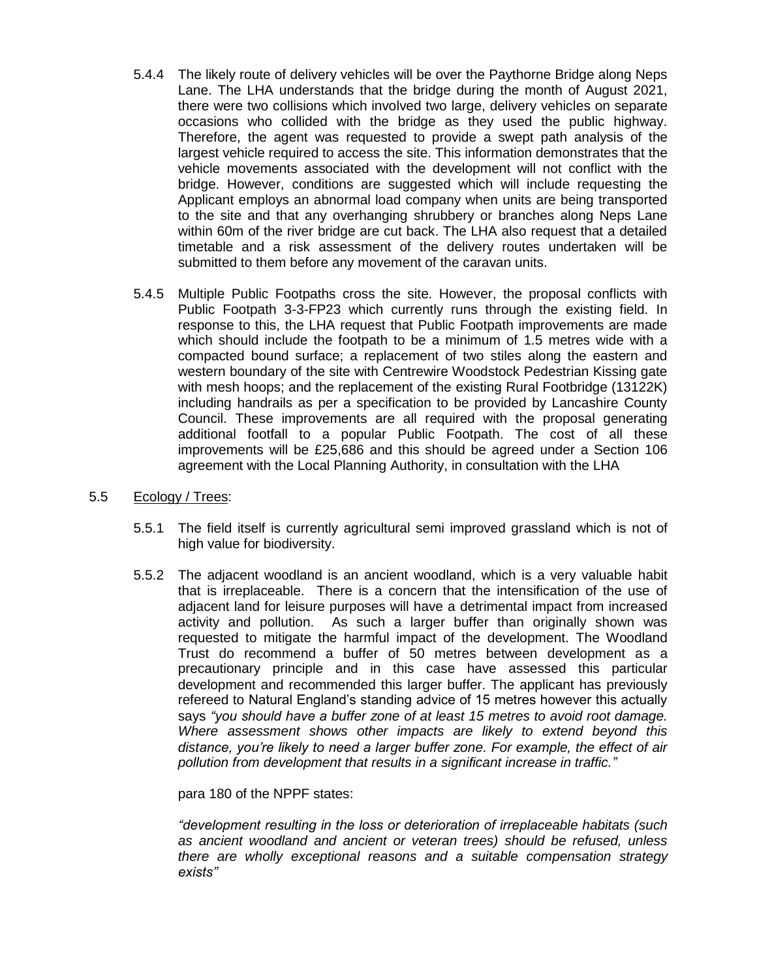- 5.4.4 The likely route of delivery vehicles will be over the Paythorne Bridge along Neps Lane. The LHA understands that the bridge during the month of August 2021, there were two collisions which involved two large, delivery vehicles on separate occasions who collided with the bridge as they used the public highway. Therefore, the agent was requested to provide a swept path analysis of the largest vehicle required to access the site. This information demonstrates that the vehicle movements associated with the development will not conflict with the bridge. However, conditions are suggested which will include requesting the Applicant employs an abnormal load company when units are being transported to the site and that any overhanging shrubbery or branches along Neps Lane within 60m of the river bridge are cut back. The LHA also request that a detailed timetable and a risk assessment of the delivery routes undertaken will be submitted to them before any movement of the caravan units.
- 5.4.5 Multiple Public Footpaths cross the site. However, the proposal conflicts with Public Footpath 3-3-FP23 which currently runs through the existing field. In response to this, the LHA request that Public Footpath improvements are made which should include the footpath to be a minimum of 1.5 metres wide with a compacted bound surface; a replacement of two stiles along the eastern and western boundary of the site with Centrewire Woodstock Pedestrian Kissing gate with mesh hoops; and the replacement of the existing Rural Footbridge (13122K) including handrails as per a specification to be provided by Lancashire County Council. These improvements are all required with the proposal generating additional footfall to a popular Public Footpath. The cost of all these improvements will be £25,686 and this should be agreed under a Section 106 agreement with the Local Planning Authority, in consultation with the LHA
- 5.5 Ecology / Trees:
	- 5.5.1 The field itself is currently agricultural semi improved grassland which is not of high value for biodiversity.
	- 5.5.2 The adjacent woodland is an ancient woodland, which is a very valuable habit that is irreplaceable. There is a concern that the intensification of the use of adjacent land for leisure purposes will have a detrimental impact from increased activity and pollution. As such a larger buffer than originally shown was requested to mitigate the harmful impact of the development. The Woodland Trust do recommend a buffer of 50 metres between development as a precautionary principle and in this case have assessed this particular development and recommended this larger buffer. The applicant has previously refereed to Natural England's standing advice of 15 metres however this actually says *"you should have a buffer zone of at least 15 metres to avoid root damage. Where assessment shows other impacts are likely to extend beyond this distance, you're likely to need a larger buffer zone. For example, the effect of air pollution from development that results in a significant increase in traffic."*

para 180 of the NPPF states:

*"development resulting in the loss or deterioration of irreplaceable habitats (such as ancient woodland and ancient or veteran trees) should be refused, unless there are wholly exceptional reasons and a suitable compensation strategy exists"*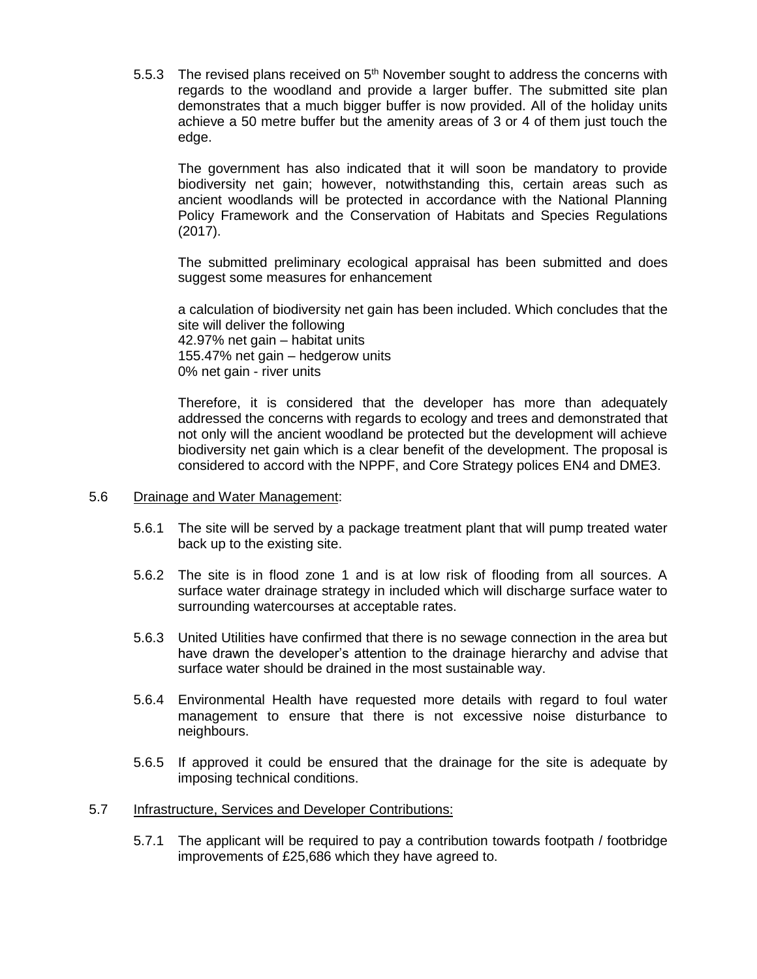5.5.3 The revised plans received on  $5<sup>th</sup>$  November sought to address the concerns with regards to the woodland and provide a larger buffer. The submitted site plan demonstrates that a much bigger buffer is now provided. All of the holiday units achieve a 50 metre buffer but the amenity areas of 3 or 4 of them just touch the edge.

The government has also indicated that it will soon be mandatory to provide biodiversity net gain; however, notwithstanding this, certain areas such as ancient woodlands will be protected in accordance with the National Planning Policy Framework and the Conservation of Habitats and Species Regulations (2017).

The submitted preliminary ecological appraisal has been submitted and does suggest some measures for enhancement

a calculation of biodiversity net gain has been included. Which concludes that the site will deliver the following 42.97% net gain – habitat units 155.47% net gain – hedgerow units 0% net gain - river units

Therefore, it is considered that the developer has more than adequately addressed the concerns with regards to ecology and trees and demonstrated that not only will the ancient woodland be protected but the development will achieve biodiversity net gain which is a clear benefit of the development. The proposal is considered to accord with the NPPF, and Core Strategy polices EN4 and DME3.

### 5.6 Drainage and Water Management:

- 5.6.1 The site will be served by a package treatment plant that will pump treated water back up to the existing site.
- 5.6.2 The site is in flood zone 1 and is at low risk of flooding from all sources. A surface water drainage strategy in included which will discharge surface water to surrounding watercourses at acceptable rates.
- 5.6.3 United Utilities have confirmed that there is no sewage connection in the area but have drawn the developer's attention to the drainage hierarchy and advise that surface water should be drained in the most sustainable way.
- 5.6.4 Environmental Health have requested more details with regard to foul water management to ensure that there is not excessive noise disturbance to neighbours.
- 5.6.5 If approved it could be ensured that the drainage for the site is adequate by imposing technical conditions.

### 5.7 Infrastructure, Services and Developer Contributions:

5.7.1 The applicant will be required to pay a contribution towards footpath / footbridge improvements of £25,686 which they have agreed to.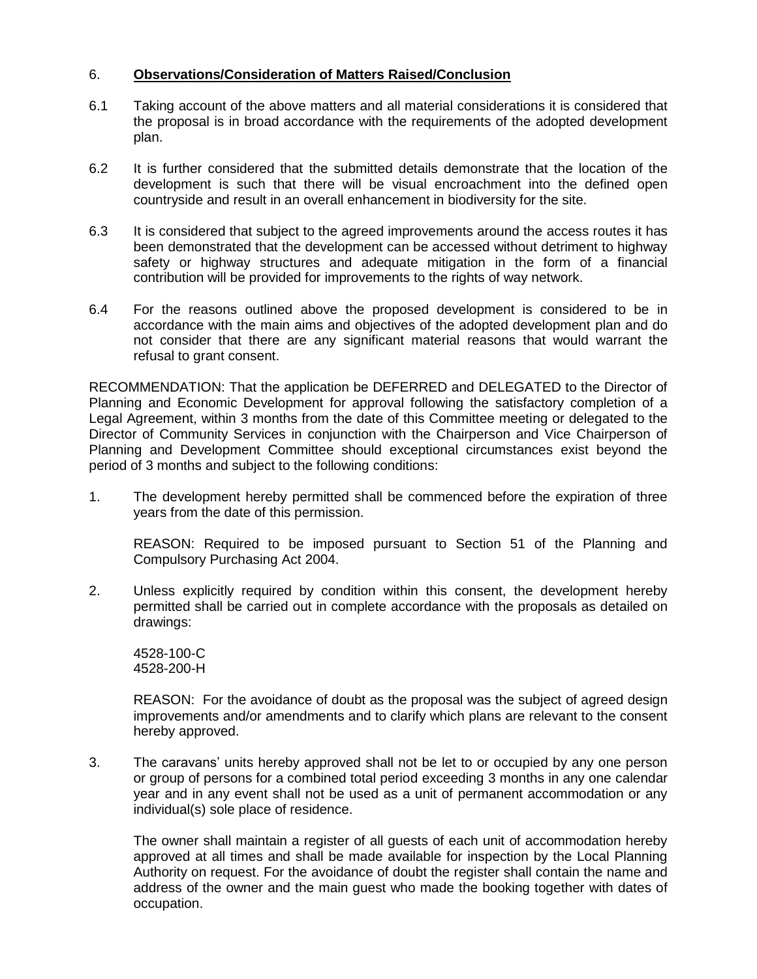## 6. **Observations/Consideration of Matters Raised/Conclusion**

- 6.1 Taking account of the above matters and all material considerations it is considered that the proposal is in broad accordance with the requirements of the adopted development plan.
- 6.2 It is further considered that the submitted details demonstrate that the location of the development is such that there will be visual encroachment into the defined open countryside and result in an overall enhancement in biodiversity for the site.
- 6.3 It is considered that subject to the agreed improvements around the access routes it has been demonstrated that the development can be accessed without detriment to highway safety or highway structures and adequate mitigation in the form of a financial contribution will be provided for improvements to the rights of way network.
- 6.4 For the reasons outlined above the proposed development is considered to be in accordance with the main aims and objectives of the adopted development plan and do not consider that there are any significant material reasons that would warrant the refusal to grant consent.

RECOMMENDATION: That the application be DEFERRED and DELEGATED to the Director of Planning and Economic Development for approval following the satisfactory completion of a Legal Agreement, within 3 months from the date of this Committee meeting or delegated to the Director of Community Services in conjunction with the Chairperson and Vice Chairperson of Planning and Development Committee should exceptional circumstances exist beyond the period of 3 months and subject to the following conditions:

1. The development hereby permitted shall be commenced before the expiration of three years from the date of this permission.

REASON: Required to be imposed pursuant to Section 51 of the Planning and Compulsory Purchasing Act 2004.

2. Unless explicitly required by condition within this consent, the development hereby permitted shall be carried out in complete accordance with the proposals as detailed on drawings:

4528-100-C 4528-200-H

REASON: For the avoidance of doubt as the proposal was the subject of agreed design improvements and/or amendments and to clarify which plans are relevant to the consent hereby approved.

3. The caravans' units hereby approved shall not be let to or occupied by any one person or group of persons for a combined total period exceeding 3 months in any one calendar year and in any event shall not be used as a unit of permanent accommodation or any individual(s) sole place of residence.

The owner shall maintain a register of all guests of each unit of accommodation hereby approved at all times and shall be made available for inspection by the Local Planning Authority on request. For the avoidance of doubt the register shall contain the name and address of the owner and the main guest who made the booking together with dates of occupation.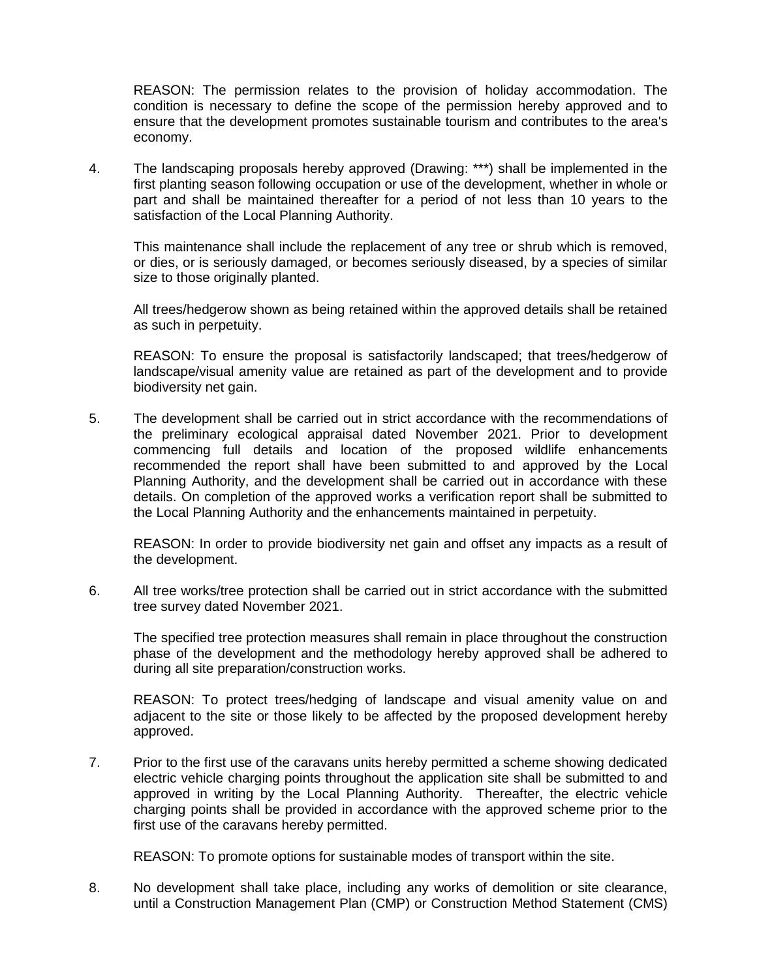REASON: The permission relates to the provision of holiday accommodation. The condition is necessary to define the scope of the permission hereby approved and to ensure that the development promotes sustainable tourism and contributes to the area's economy.

4. The landscaping proposals hereby approved (Drawing: \*\*\*) shall be implemented in the first planting season following occupation or use of the development, whether in whole or part and shall be maintained thereafter for a period of not less than 10 years to the satisfaction of the Local Planning Authority.

This maintenance shall include the replacement of any tree or shrub which is removed, or dies, or is seriously damaged, or becomes seriously diseased, by a species of similar size to those originally planted.

All trees/hedgerow shown as being retained within the approved details shall be retained as such in perpetuity.

REASON: To ensure the proposal is satisfactorily landscaped; that trees/hedgerow of landscape/visual amenity value are retained as part of the development and to provide biodiversity net gain.

5. The development shall be carried out in strict accordance with the recommendations of the preliminary ecological appraisal dated November 2021. Prior to development commencing full details and location of the proposed wildlife enhancements recommended the report shall have been submitted to and approved by the Local Planning Authority, and the development shall be carried out in accordance with these details. On completion of the approved works a verification report shall be submitted to the Local Planning Authority and the enhancements maintained in perpetuity.

REASON: In order to provide biodiversity net gain and offset any impacts as a result of the development.

6. All tree works/tree protection shall be carried out in strict accordance with the submitted tree survey dated November 2021.

The specified tree protection measures shall remain in place throughout the construction phase of the development and the methodology hereby approved shall be adhered to during all site preparation/construction works.

REASON: To protect trees/hedging of landscape and visual amenity value on and adjacent to the site or those likely to be affected by the proposed development hereby approved.

7. Prior to the first use of the caravans units hereby permitted a scheme showing dedicated electric vehicle charging points throughout the application site shall be submitted to and approved in writing by the Local Planning Authority. Thereafter, the electric vehicle charging points shall be provided in accordance with the approved scheme prior to the first use of the caravans hereby permitted.

REASON: To promote options for sustainable modes of transport within the site.

8. No development shall take place, including any works of demolition or site clearance, until a Construction Management Plan (CMP) or Construction Method Statement (CMS)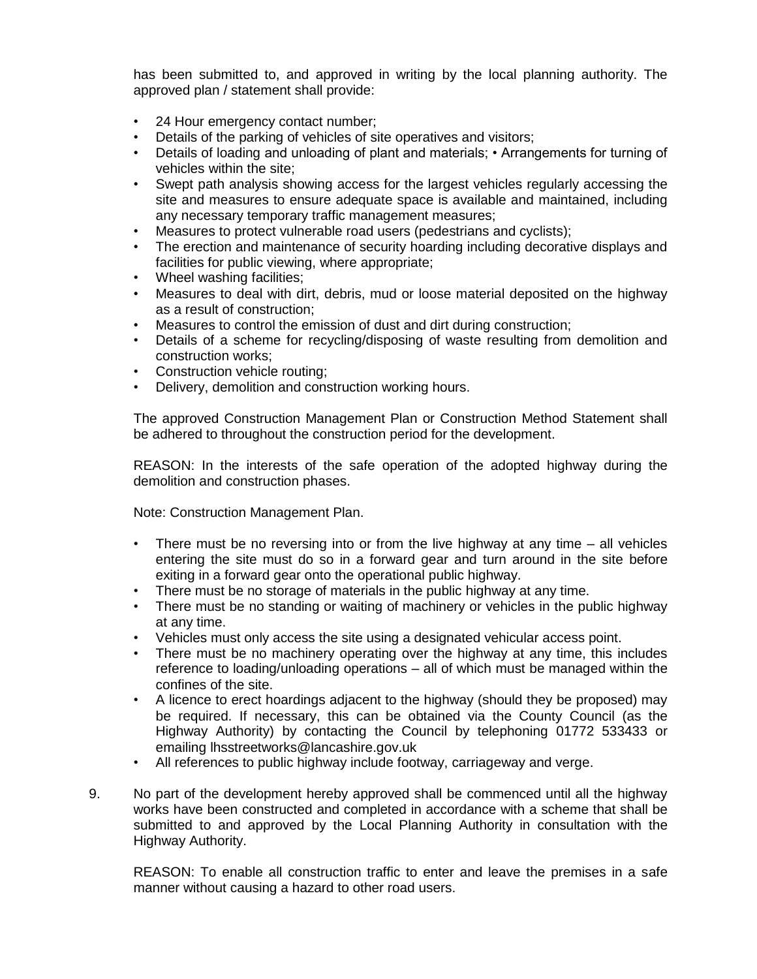has been submitted to, and approved in writing by the local planning authority. The approved plan / statement shall provide:

- 24 Hour emergency contact number;
- Details of the parking of vehicles of site operatives and visitors;
- Details of loading and unloading of plant and materials; Arrangements for turning of vehicles within the site;
- Swept path analysis showing access for the largest vehicles regularly accessing the site and measures to ensure adequate space is available and maintained, including any necessary temporary traffic management measures;
- Measures to protect vulnerable road users (pedestrians and cyclists);
- The erection and maintenance of security hoarding including decorative displays and facilities for public viewing, where appropriate;
- Wheel washing facilities;
- Measures to deal with dirt, debris, mud or loose material deposited on the highway as a result of construction;
- Measures to control the emission of dust and dirt during construction;
- Details of a scheme for recycling/disposing of waste resulting from demolition and construction works;
- Construction vehicle routing;
- Delivery, demolition and construction working hours.

The approved Construction Management Plan or Construction Method Statement shall be adhered to throughout the construction period for the development.

REASON: In the interests of the safe operation of the adopted highway during the demolition and construction phases.

Note: Construction Management Plan.

- There must be no reversing into or from the live highway at any time all vehicles entering the site must do so in a forward gear and turn around in the site before exiting in a forward gear onto the operational public highway.
- There must be no storage of materials in the public highway at any time.
- There must be no standing or waiting of machinery or vehicles in the public highway at any time.
- Vehicles must only access the site using a designated vehicular access point.
- There must be no machinery operating over the highway at any time, this includes reference to loading/unloading operations – all of which must be managed within the confines of the site.
- A licence to erect hoardings adjacent to the highway (should they be proposed) may be required. If necessary, this can be obtained via the County Council (as the Highway Authority) by contacting the Council by telephoning 01772 533433 or emailing lhsstreetworks@lancashire.gov.uk
- All references to public highway include footway, carriageway and verge.
- 9. No part of the development hereby approved shall be commenced until all the highway works have been constructed and completed in accordance with a scheme that shall be submitted to and approved by the Local Planning Authority in consultation with the Highway Authority.

REASON: To enable all construction traffic to enter and leave the premises in a safe manner without causing a hazard to other road users.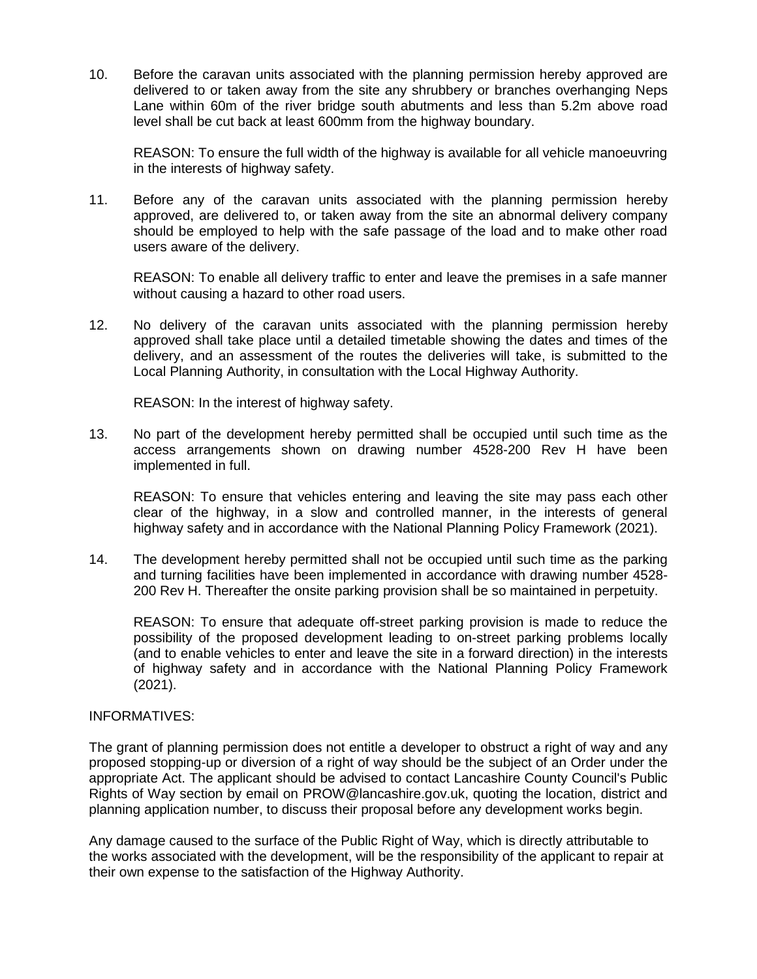10. Before the caravan units associated with the planning permission hereby approved are delivered to or taken away from the site any shrubbery or branches overhanging Neps Lane within 60m of the river bridge south abutments and less than 5.2m above road level shall be cut back at least 600mm from the highway boundary.

REASON: To ensure the full width of the highway is available for all vehicle manoeuvring in the interests of highway safety.

11. Before any of the caravan units associated with the planning permission hereby approved, are delivered to, or taken away from the site an abnormal delivery company should be employed to help with the safe passage of the load and to make other road users aware of the delivery.

REASON: To enable all delivery traffic to enter and leave the premises in a safe manner without causing a hazard to other road users.

12. No delivery of the caravan units associated with the planning permission hereby approved shall take place until a detailed timetable showing the dates and times of the delivery, and an assessment of the routes the deliveries will take, is submitted to the Local Planning Authority, in consultation with the Local Highway Authority.

REASON: In the interest of highway safety.

13. No part of the development hereby permitted shall be occupied until such time as the access arrangements shown on drawing number 4528-200 Rev H have been implemented in full.

REASON: To ensure that vehicles entering and leaving the site may pass each other clear of the highway, in a slow and controlled manner, in the interests of general highway safety and in accordance with the National Planning Policy Framework (2021).

14. The development hereby permitted shall not be occupied until such time as the parking and turning facilities have been implemented in accordance with drawing number 4528- 200 Rev H. Thereafter the onsite parking provision shall be so maintained in perpetuity.

REASON: To ensure that adequate off-street parking provision is made to reduce the possibility of the proposed development leading to on-street parking problems locally (and to enable vehicles to enter and leave the site in a forward direction) in the interests of highway safety and in accordance with the National Planning Policy Framework (2021).

### INFORMATIVES:

The grant of planning permission does not entitle a developer to obstruct a right of way and any proposed stopping-up or diversion of a right of way should be the subject of an Order under the appropriate Act. The applicant should be advised to contact Lancashire County Council's Public Rights of Way section by email on PROW@lancashire.gov.uk, quoting the location, district and planning application number, to discuss their proposal before any development works begin.

Any damage caused to the surface of the Public Right of Way, which is directly attributable to the works associated with the development, will be the responsibility of the applicant to repair at their own expense to the satisfaction of the Highway Authority.